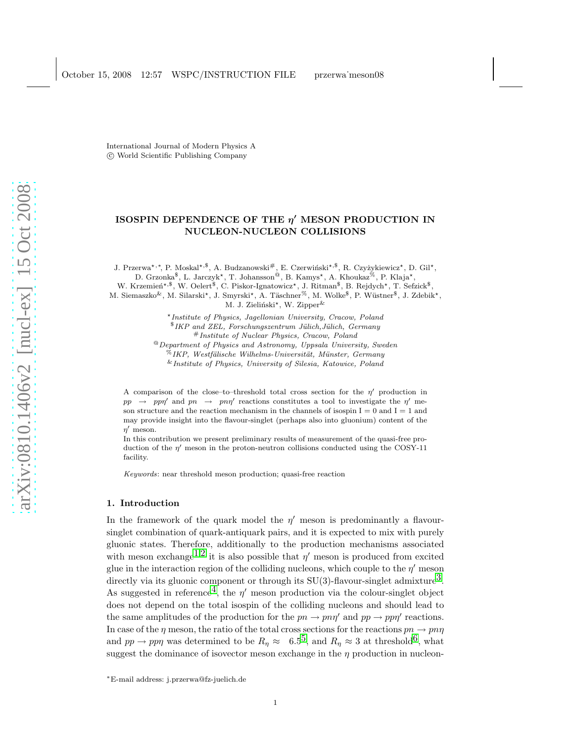October 15, 2008 12:57 WSPC/INSTRUCTION FILE przerwa˙meson08

,

International Journal of Modern Physics A c World Scientific Publishing Company

# ISOSPIN DEPENDENCE OF THE  $\eta'$  MESON PRODUCTION IN NUCLEON-NUCLEON COLLISIONS

J. Przerwa<sup>★,∗</sup>, P. Moskal<sup>★,\$</sup>, A. Budzanowski<sup>#</sup>, E. Czerwiński<sup>★,\$</sup>, R. Czyżykiewicz\*, D. Gil\*, D. Grzonka<sup>\$</sup>, L. Jarczyk<sup>\*</sup>, T. Johansson<sup>@</sup>, B. Kamys<sup>\*</sup>, A. Khoukaz<sup>%</sup>, P. Klaja<sup>\*</sup>,

W. Krzemień\*, $\mathbb{S}$ , W. Oelert $\mathbb{S}$ , C. Piskor-Ignatowicz\*, J. Ritman $\mathbb{S}$ , B. Rejdych\*, T. Sefzick $\mathbb{S}$ 

M. Siemaszko<sup>&</sup>, M. Silarski\*, J. Smyrski\*, A. Täschner<sup>%</sup>, M. Wolke<sup>\$</sup>, P. Wüstner<sup>\$</sup>, J. Zdebik\*, M. J. Zieliński\*, W. Zipper<sup>&</sup>

> <sup>⋆</sup>Institute of Physics, Jagellonian University, Cracow, Poland  $1$ KP and ZEL, Forschungszentrum Jülich, Jülich, Germany #Institute of Nuclear Physics, Cracow, Poland

 $^{\circledR}$  Department of Physics and Astronomy, Uppsala University, Sweden  $\%$ IKP, Westfälische Wilhelms-Universität, Münster, Germany &Institute of Physics, University of Silesia, Katowice, Poland

A comparison of the close–to–threshold total cross section for the  $\eta'$  production in pp  $\rightarrow$  ppn' and pn  $\rightarrow$  pnn' reactions constitutes a tool to investigate the n' meson structure and the reaction mechanism in the channels of isospin  $I = 0$  and  $I = 1$  and may provide insight into the flavour-singlet (perhaps also into gluonium) content of the  $\eta'$  meson.

In this contribution we present preliminary results of measurement of the quasi-free production of the  $\eta'$  meson in the proton-neutron collisions conducted using the COSY-11 facility.

Keywords: near threshold meson production; quasi-free reaction

## 1. Introduction

In the framework of the quark model the  $\eta'$  meson is predominantly a flavoursinglet combination of quark-antiquark pairs, and it is expected to mix with purely gluonic states. Therefore, additionally to the production mechanisms associated with meson exchange<sup>[1](#page-3-0),[2](#page-3-1)</sup> it is also possible that  $\eta'$  meson is produced from excited glue in the interaction region of the colliding nucleons, which couple to the  $\eta'$  meson directly via its gluonic component or through its  $SU(3)$ -flavour-singlet admixture<sup>3</sup>. As suggested in reference<sup>4</sup>, the  $\eta'$  meson production via the colour-singlet object does not depend on the total isospin of the colliding nucleons and should lead to the same amplitudes of the production for the  $pn \to pn\eta'$  and  $pp \to pp\eta'$  reactions. In case of the  $\eta$  meson, the ratio of the total cross sections for the reactions  $pn \to pn\eta$ and  $pp \to pp\eta$  was determined to be  $R_n \approx 6.5^5$ , and  $R_n \approx 3$  at threshold<sup>6</sup>, what suggest the dominance of isovector meson exchange in the  $\eta$  production in nucleon-

<sup>∗</sup>E-mail address: j.przerwa@fz-juelich.de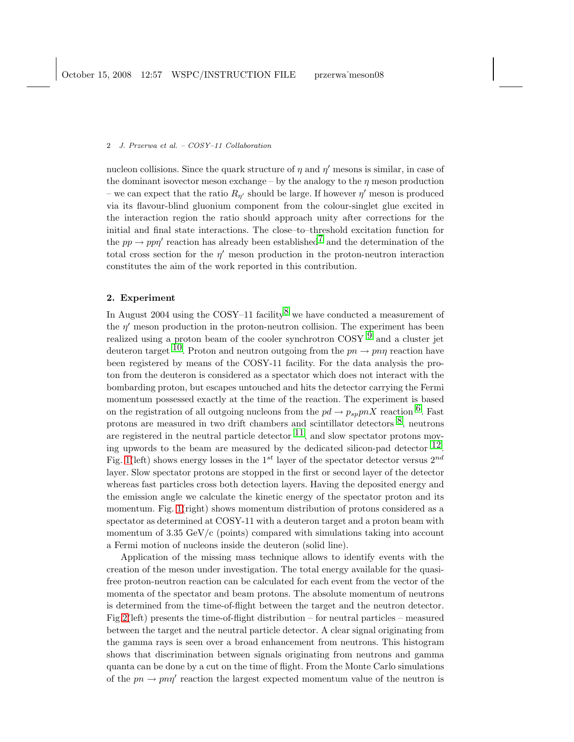## 2 J. Przerwa et al. – COSY–11 Collaboration

nucleon collisions. Since the quark structure of  $\eta$  and  $\eta'$  mesons is similar, in case of the dominant isovector meson exchange – by the analogy to the  $\eta$  meson production – we can expect that the ratio  $R_{\eta'}$  should be large. If however  $\eta'$  meson is produced via its flavour-blind gluonium component from the colour-singlet glue excited in the interaction region the ratio should approach unity after corrections for the initial and final state interactions. The close–to–threshold excitation function for the  $pp \to pp\eta'$  reaction has already been established<sup>7</sup> and the determination of the total cross section for the  $\eta'$  meson production in the proton-neutron interaction constitutes the aim of the work reported in this contribution.

# 2. Experiment

In August 2004 using the COSY–11 facility<sup>8</sup> we have conducted a measurement of the  $\eta'$  meson production in the proton-neutron collision. The experiment has been realized using a proton beam of the cooler synchrotron COSY  $9$  and a cluster jet deuteron target <sup>10</sup>. Proton and neutron outgoing from the  $pn \to pn\eta$  reaction have been registered by means of the COSY-11 facility. For the data analysis the proton from the deuteron is considered as a spectator which does not interact with the bombarding proton, but escapes untouched and hits the detector carrying the Fermi momentum possessed exactly at the time of the reaction. The experiment is based on the registration of all outgoing nucleons from the  $pd \to p_{sp}pnX$  reaction <sup>6</sup>. Fast protons are measured in two drift chambers and scintillator detectors  $\delta$ , neutrons are registered in the neutral particle detector  $11$ , and slow spectator protons moving upwords to the beam are measured by the dedicated silicon-pad detector  $^{12}$ . Fig. [1\(](#page-2-0)left) shows energy losses in the 1<sup>st</sup> layer of the spectator detector versus  $2^{nd}$ layer. Slow spectator protons are stopped in the first or second layer of the detector whereas fast particles cross both detection layers. Having the deposited energy and the emission angle we calculate the kinetic energy of the spectator proton and its momentum. Fig. [1\(](#page-2-0)right) shows momentum distribution of protons considered as a spectator as determined at COSY-11 with a deuteron target and a proton beam with momentum of  $3.35 \text{ GeV/c}$  (points) compared with simulations taking into account a Fermi motion of nucleons inside the deuteron (solid line).

Application of the missing mass technique allows to identify events with the creation of the meson under investigation. The total energy available for the quasifree proton-neutron reaction can be calculated for each event from the vector of the momenta of the spectator and beam protons. The absolute momentum of neutrons is determined from the time-of-flight between the target and the neutron detector. Fig[.2\(](#page-2-1)left) presents the time-of-flight distribution – for neutral particles – measured between the target and the neutral particle detector. A clear signal originating from the gamma rays is seen over a broad enhancement from neutrons. This histogram shows that discrimination between signals originating from neutrons and gamma quanta can be done by a cut on the time of flight. From the Monte Carlo simulations of the  $pn \to pn\eta'$  reaction the largest expected momentum value of the neutron is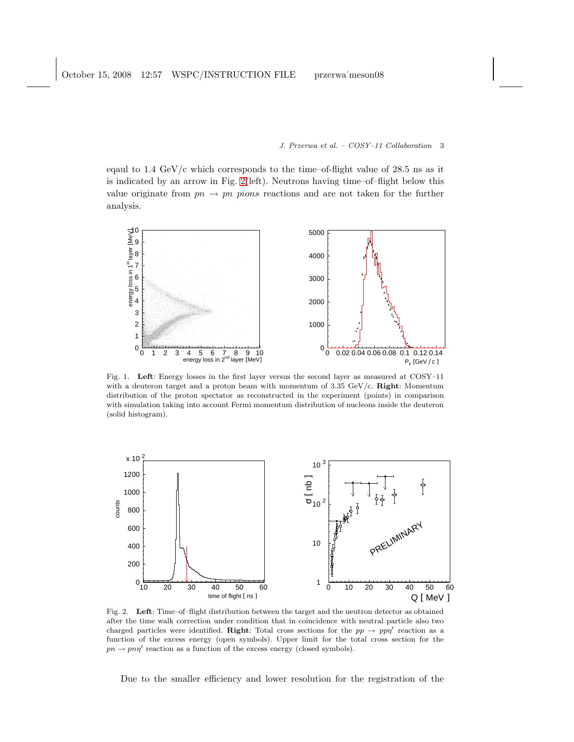J. Przerwa et al. – COSY–11 Collaboration 3

eqaul to  $1.4 \text{ GeV/c}$  which corresponds to the time–of-flight value of  $28.5 \text{ ns}$  as it is indicated by an arrow in Fig. [2\(](#page-2-1)left). Neutrons having time–of–flight below this value originate from  $pn \to pn \ pions$  reactions and are not taken for the further analysis.



<span id="page-2-0"></span>Fig. 1. Left: Energy losses in the first layer versus the second layer as measured at COSY–11 with a deuteron target and a proton beam with momentum of 3.35 GeV/c. Right: Momentum distribution of the proton spectator as reconstructed in the experiment (points) in comparison with simulation taking into account Fermi momentum distribution of nucleons inside the deuteron (solid histogram).



<span id="page-2-1"></span>Fig. 2. Left: Time–of–flight distribution between the target and the neutron detector as obtained after the time walk correction under condition that in coincidence with neutral particle also two charged particles were identified. Right: Total cross sections for the  $pp \to pp\eta'$  reaction as a function of the excess energy (open symbols). Upper limit for the total cross section for the  $pn \to pn\eta'$  reaction as a function of the excess energy (closed symbols).

Due to the smaller efficiency and lower resolution for the registration of the